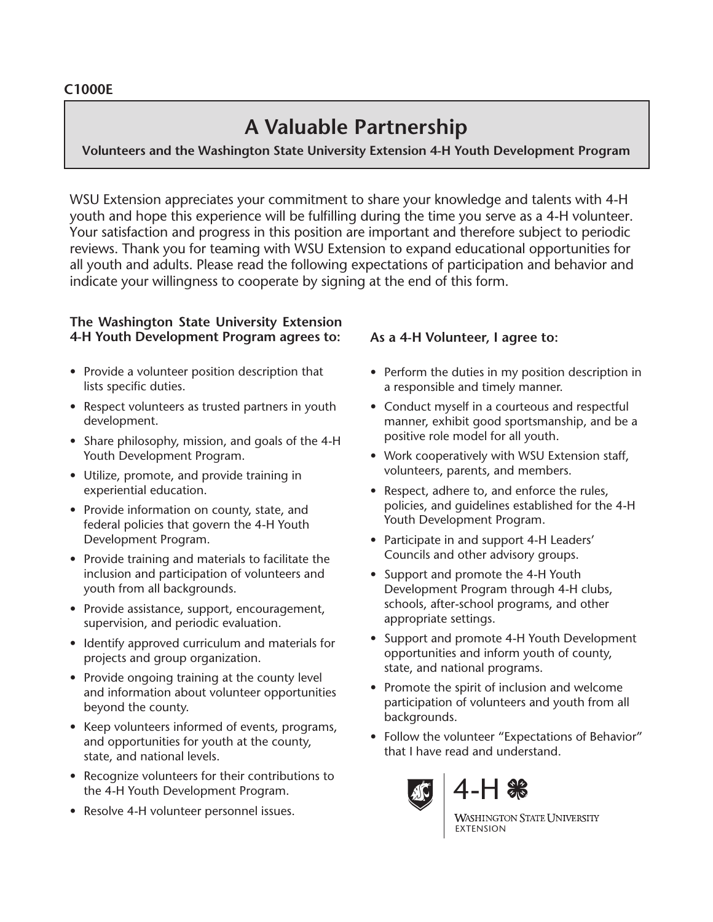# **A Valuable Partnership**

**Volunteers and the Washington State University Extension 4-H Youth Development Program**

WSU Extension appreciates your commitment to share your knowledge and talents with 4-H youth and hope this experience will be fulfilling during the time you serve as a 4-H volunteer. Your satisfaction and progress in this position are important and therefore subject to periodic reviews. Thank you for teaming with WSU Extension to expand educational opportunities for all youth and adults. Please read the following expectations of participation and behavior and indicate your willingness to cooperate by signing at the end of this form.

#### **The Washington State University Extension 4-H Youth Development Program agrees to:**

- Provide a volunteer position description that lists specific duties.
- Respect volunteers as trusted partners in youth development.
- Share philosophy, mission, and goals of the 4-H Youth Development Program.
- Utilize, promote, and provide training in experiential education.
- Provide information on county, state, and federal policies that govern the 4-H Youth Development Program.
- Provide training and materials to facilitate the inclusion and participation of volunteers and youth from all backgrounds.
- Provide assistance, support, encouragement, supervision, and periodic evaluation.
- Identify approved curriculum and materials for projects and group organization.
- Provide ongoing training at the county level and information about volunteer opportunities beyond the county.
- Keep volunteers informed of events, programs, and opportunities for youth at the county, state, and national levels.
- Recognize volunteers for their contributions to the 4-H Youth Development Program.
- Resolve 4-H volunteer personnel issues.

## **As a 4-H Volunteer, I agree to:**

- Perform the duties in my position description in a responsible and timely manner.
- Conduct myself in a courteous and respectful manner, exhibit good sportsmanship, and be a positive role model for all youth.
- Work cooperatively with WSU Extension staff, volunteers, parents, and members.
- Respect, adhere to, and enforce the rules, policies, and guidelines established for the 4-H Youth Development Program.
- Participate in and support 4-H Leaders' Councils and other advisory groups.
- Support and promote the 4-H Youth Development Program through 4-H clubs, schools, after-school programs, and other appropriate settings.
- Support and promote 4-H Youth Development opportunities and inform youth of county, state, and national programs.
- Promote the spirit of inclusion and welcome participation of volunteers and youth from all backgrounds.
- Follow the volunteer "Expectations of Behavior" that I have read and understand.





**WASHINGTON STATE UNIVERSITY** EXTENSION